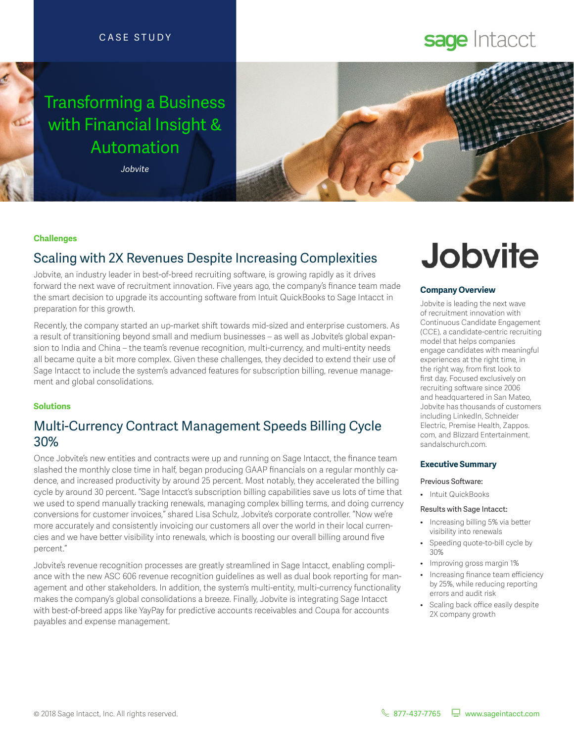### CASE STUDY

## Transforming a Business with Financial Insight & Automation

*Jobvite*



#### **Challenges**

## Scaling with 2X Revenues Despite Increasing Complexities

Jobvite, an industry leader in best-of-breed recruiting sofware, is growing rapidly as it drives forward the next wave of recruitment innovation. Five years ago, the company's fnance team made the smart decision to upgrade its accounting sofware from Intuit QuickBooks to Sage Intacct in preparation for this growth.

Recently, the company started an up-market shift towards mid-sized and enterprise customers. As a result of transitioning beyond small and medium businesses – as well as Jobvite's global expansion to India and China – the team's revenue recognition, multi-currency, and multi-entity needs all became quite a bit more complex. Given these challenges, they decided to extend their use of Sage Intacct to include the system's advanced features for subscription billing, revenue management and global consolidations.

#### **Solutions**

## Multi-Currency Contract Management Speeds Billing Cycle 30%

Once Jobvite's new entities and contracts were up and running on Sage Intacct, the fnance team slashed the monthly close time in half, began producing GAAP fnancials on a regular monthly cadence, and increased productivity by around 25 percent. Most notably, they accelerated the billing cycle by around 30 percent. "Sage Intacct's subscription billing capabilities save us lots of time that we used to spend manually tracking renewals, managing complex billing terms, and doing currency conversions for customer invoices," shared Lisa Schulz, Jobvite's corporate controller. "Now we're more accurately and consistently invoicing our customers all over the world in their local currencies and we have beter visibility into renewals, which is boosting our overall billing around fve percent."

Jobvite's revenue recognition processes are greatly streamlined in Sage Intacct, enabling compliance with the new ASC 606 revenue recognition guidelines as well as dual book reporting for management and other stakeholders. In addition, the system's multi-entity, multi-currency functionality makes the company's global consolidations a breeze. Finally, Jobvite is integrating Sage Intacct with best-of-breed apps like YayPay for predictive accounts receivables and Coupa for accounts payables and expense management.

# **Jobvite**

sage Intacct

#### **Company Overview**

Jobvite is leading the next wave of recruitment innovation with Continuous Candidate Engagement (CCE), a candidate-centric recruiting model that helps companies engage candidates with meaningful experiences at the right time, in the right way, from frst look to frst day. Focused exclusively on recruiting software since 2006 and headquartered in San Mateo, Jobvite has thousands of customers including LinkedIn, Schneider Electric, Premise Health, Zappos. com, and Blizzard Entertainment. sandalschurch.com.

#### **Executive Summary**

#### Previous Software:

• Intuit QuickBooks

#### Results with Sage Intacct:

- Increasing billing 5% via better visibility into renewals
- Speeding quote-to-bill cycle by 30%
- Improving gross margin 1%
- Increasing finance team efficiency by 25%, while reducing reporting errors and audit risk
- Scaling back office easily despite 2X company growth